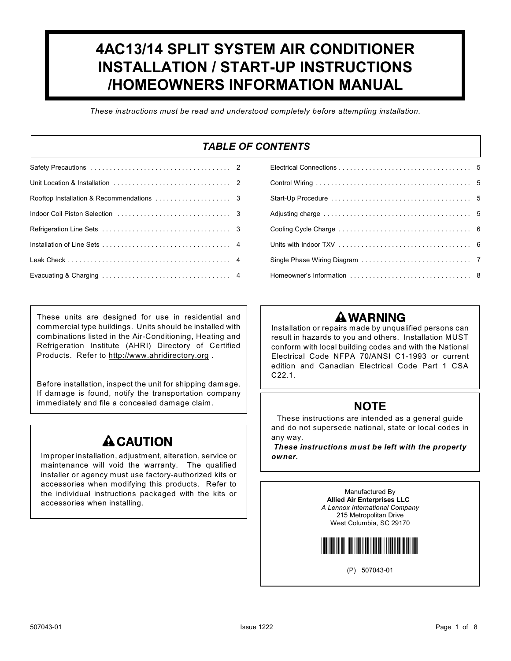# **4AC13/14 SPLIT SYSTEM AIR CONDITIONER INSTALLATION / START-UP INSTRUCTIONS /HOMEOWNERS INFORMATION MANUAL**

*These instructions must be read and understood completely before attempting installation.*

### *TABLE OF CONTENTS*

These units are designed for use in residential and commercial type buildings. Units should be installed with combinations listed in the Air-Conditioning, Heating and Refrigeration Institute (AHRI) Directory of Certified Products. Refer to [http://www.ahridirectory.org](http://www.aridirectory.org/index.html) .

Before installation, inspect the unit for shipping damage. If damage is found, notify the transportation company immediately and file a concealed damage claim.

# **A CAUTION**

Improper installation, adjustment, alteration, service or maintenance will void the warranty. The qualified installer or agency must use factory-authorized kits or accessories when modifying this products. Refer to the individual instructions packaged with the kits or accessories when installing.

| Units with Indoor TXV $\ldots \ldots \ldots \ldots \ldots \ldots \ldots \ldots \ldots \ldots \ldots 6$ |  |
|--------------------------------------------------------------------------------------------------------|--|
|                                                                                                        |  |
|                                                                                                        |  |
|                                                                                                        |  |

## **A WARNING**

Installation or repairs made by unqualified persons can result in hazards to you and others. Installation MUST conform with local building codes and with the National Electrical Code NFPA 70/ANSI C1-1993 or current edition and Canadian Electrical Code Part 1 CSA C22.1.

### **NOTE**

These instructions are intended as a general guide and do not supersede national, state or local codes in any way.

*These instructions must be left with the property owner.*

> Manufactured By **Allied Air Enterprises LLC** *A Lennox International Company* 215 Metropolitan Drive West Columbia, SC 29170



(P) 507043-01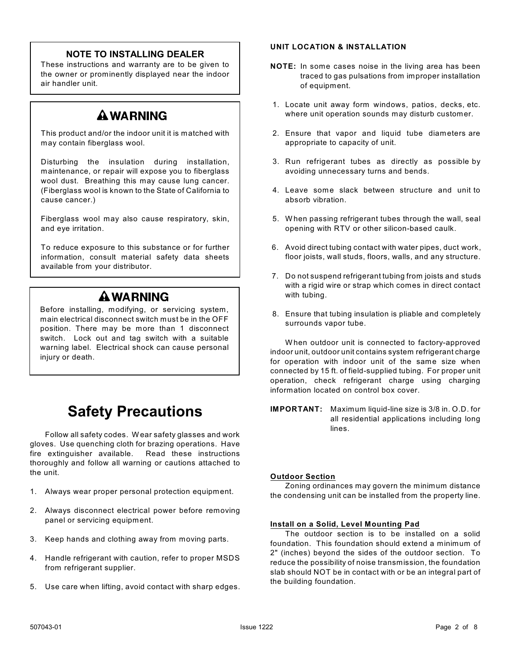### **NOTE TO INSTALLING DEALER**

These instructions and warranty are to be given to the owner or prominently displayed near the indoor air handler unit.

### **A WARNING**

This product and/or the indoor unit it is matched with may contain fiberglass wool.

Disturbing the insulation during installation, maintenance, or repair will expose you to fiberglass wool dust. Breathing this may cause lung cancer. (Fiberglass wool is known to the State of California to cause cancer.)

Fiberglass wool may also cause respiratory, skin, and eye irritation.

To reduce exposure to this substance or for further information, consult material safety data sheets available from your distributor.

# **A WARNING**

Before installing, modifying, or servicing system, main electrical disconnect switch must be in the OFF position. There may be more than 1 disconnect switch. Lock out and tag switch with a suitable warning label. Electrical shock can cause personal injury or death.

# **Safety Precautions**

Follow all safety codes. Wear safety glasses and work gloves. Use quenching cloth for brazing operations. Have fire extinguisher available. Read these instructions thoroughly and follow all warning or cautions attached to the unit.

- 1. Always wear proper personal protection equipment.
- 2. Always disconnect electrical power before removing panel or servicing equipment.
- 3. Keep hands and clothing away from moving parts.
- 4. Handle refrigerant with caution, refer to proper MSDS from refrigerant supplier.
- 5. Use care when lifting, avoid contact with sharp edges.

### **UNIT LOCATION & INSTALLATION**

- **NOTE:** In some cases noise in the living area has been traced to gas pulsations from improper installation of equipment.
- 1. Locate unit away form windows, patios, decks, etc. where unit operation sounds may disturb customer.
- 2. Ensure that vapor and liquid tube diameters are appropriate to capacity of unit.
- 3. Run refrigerant tubes as directly as possible by avoiding unnecessary turns and bends.
- 4. Leave some slack between structure and unit to absorb vibration.
- 5. W hen passing refrigerant tubes through the wall, seal opening with RTV or other silicon-based caulk.
- 6. Avoid direct tubing contact with water pipes, duct work, floor joists, wall studs, floors, walls, and any structure.
- 7. Do not suspend refrigerant tubing from joists and studs with a rigid wire or strap which comes in direct contact with tubing.
- 8. Ensure that tubing insulation is pliable and completely surrounds vapor tube.

W hen outdoor unit is connected to factory-approved indoor unit, outdoor unit contains system refrigerant charge for operation with indoor unit of the same size when connected by 15 ft. of field-supplied tubing. For proper unit operation, check refrigerant charge using charging information located on control box cover.

**IMPORTANT:** Maximum liquid-line size is 3/8 in. O.D. for all residential applications including long lines.

### **Outdoor Section**

Zoning ordinances may govern the minimum distance the condensing unit can be installed from the property line.

### **Install on a Solid, Level Mounting Pad**

The outdoor section is to be installed on a solid foundation. This foundation should extend a minimum of 2" (inches) beyond the sides of the outdoor section. To reduce the possibility of noise transmission, the foundation slab should NOT be in contact with or be an integral part of the building foundation.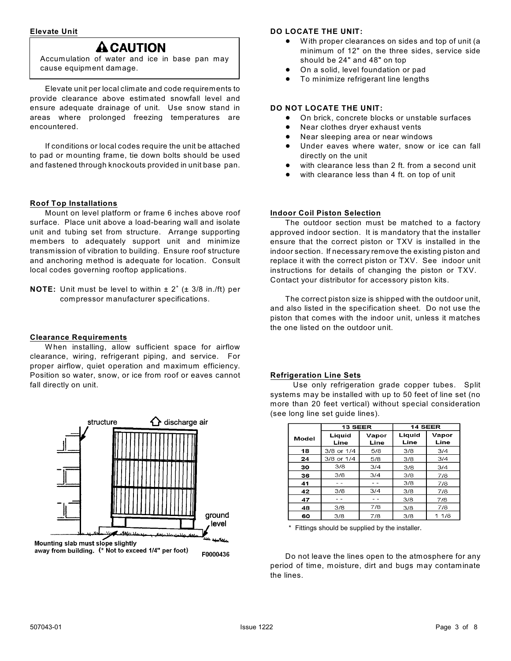### **Elevate Unit**

### **A CAUTION**

Accumulation of water and ice in base pan may cause equipment damage.

Elevate unit per local climate and code requirements to provide clearance above estimated snowfall level and ensure adequate drainage of unit. Use snow stand in areas where prolonged freezing temperatures are encountered.

If conditions or local codes require the unit be attached to pad or mounting frame, tie down bolts should be used and fastened through knockouts provided in unit base pan.

### **Roof Top Installations**

Mount on level platform or frame 6 inches above roof surface. Place unit above a load-bearing wall and isolate unit and tubing set from structure. Arrange supporting members to adequately support unit and minimize transmission of vibration to building. Ensure roof structure and anchoring method is adequate for location. Consult local codes governing rooftop applications.

**NOTE:** Unit must be level to within  $\pm 2^\circ$  ( $\pm 3/8$  in./ft) per compressor manufacturer specifications.

### **Clearance Requirements**

W hen installing, allow sufficient space for airflow clearance, wiring, refrigerant piping, and service. For proper airflow, quiet operation and maximum efficiency. Position so water, snow, or ice from roof or eaves cannot fall directly on unit.



### **DO LOCATE THE UNIT:**

- With proper clearances on sides and top of unit (a minimum of 12" on the three sides, service side should be 24" and 48" on top
- ! On a solid, level foundation or pad
- To minimize refrigerant line lengths

### **DO NOT LOCATE THE UNIT:**

- ! On brick, concrete blocks or unstable surfaces
- Near clothes dryer exhaust vents
- Near sleeping area or near windows
- **.** Under eaves where water, snow or ice can fall directly on the unit
- with clearance less than 2 ft. from a second unit
- with clearance less than 4 ft. on top of unit

### **Indoor Coil Piston Selection**

The outdoor section must be matched to a factory approved indoor section. It is mandatory that the installer ensure that the correct piston or TXV is installed in the indoor section. If necessary remove the existing piston and replace it with the correct piston or TXV. See indoor unit instructions for details of changing the piston or TXV. Contact your distributor for accessory piston kits.

The correct piston size is shipped with the outdoor unit, and also listed in the specification sheet. Do not use the piston that comes with the indoor unit, unless it matches the one listed on the outdoor unit.

### **Refrigeration Line Sets**

 Use only refrigeration grade copper tubes. Split systems may be installed with up to 50 feet of line set (no more than 20 feet vertical) without special consideration (see long line set guide lines).

|       | <b>13 SEER</b> |               | 14 SEER        |               |
|-------|----------------|---------------|----------------|---------------|
| Model | Liquid<br>Line | Vapor<br>Line | Liquid<br>Line | Vapor<br>Line |
| 18    | 3/8 or 1/4     | 5/8           | 3/8            | 3/4           |
| 24    | 3/8 or 1/4     | 5/8           | 3/8            | 3/4           |
| 30    | 3/8            | 3/4           | 3/8            | 3/4           |
| 36    | 3/8            | 3/4           | 3/8            | 7/8           |
| 41    |                |               | 3/8            | 7/8           |
| 42    | 3/8            | 3/4           | 3/8            | 7/8           |
| 47    |                |               | 3/8            | 7/8           |
| 48    | 3/8            | 7/8           | 3/8            | 7/8           |
| 60    | 3/8            | 7/8           | 3/8            | 11/8          |

Fittings should be supplied by the installer.

Do not leave the lines open to the atmosphere for any period of time, moisture, dirt and bugs may contaminate the lines.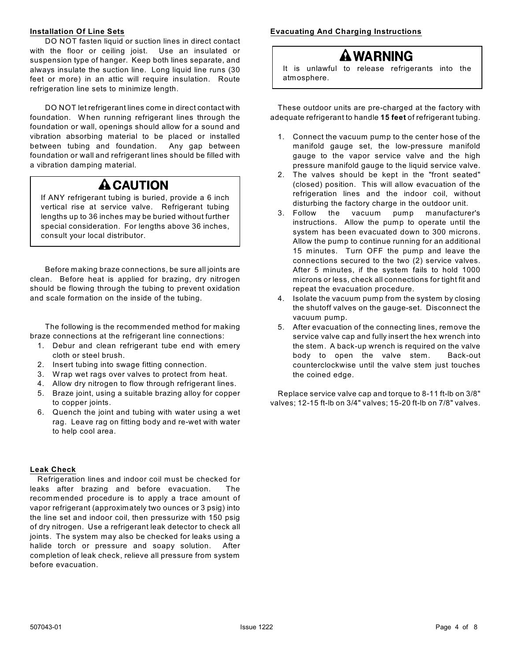### **Installation Of Line Sets**

DO NOT fasten liquid or suction lines in direct contact with the floor or ceiling joist. Use an insulated or suspension type of hanger. Keep both lines separate, and always insulate the suction line. Long liquid line runs (30 feet or more) in an attic will require insulation. Route refrigeration line sets to minimize length.

DO NOT let refrigerant lines come in direct contact with foundation. W hen running refrigerant lines through the foundation or wall, openings should allow for a sound and vibration absorbing material to be placed or installed between tubing and foundation. Any gap between foundation or wall and refrigerant lines should be filled with a vibration damping material.

# **A CAUTION**

If ANY refrigerant tubing is buried, provide a 6 inch vertical rise at service valve. Refrigerant tubing lengths up to 36 inches may be buried without further special consideration. For lengths above 36 inches, consult your local distributor.

Before making braze connections, be sure all joints are clean. Before heat is applied for brazing, dry nitrogen should be flowing through the tubing to prevent oxidation and scale formation on the inside of the tubing.

The following is the recommended method for making braze connections at the refrigerant line connections:

- 1. Debur and clean refrigerant tube end with emery cloth or steel brush.
- 2. Insert tubing into swage fitting connection.
- 3. W rap wet rags over valves to protect from heat.
- 4. Allow dry nitrogen to flow through refrigerant lines.
- 5. Braze joint, using a suitable brazing alloy for copper to copper joints.
- 6. Quench the joint and tubing with water using a wet rag. Leave rag on fitting body and re-wet with water to help cool area.

### **Leak Check**

Refrigeration lines and indoor coil must be checked for leaks after brazing and before evacuation. The recommended procedure is to apply a trace amount of vapor refrigerant (approximately two ounces or 3 psig) into the line set and indoor coil, then pressurize with 150 psig of dry nitrogen. Use a refrigerant leak detector to check all joints. The system may also be checked for leaks using a halide torch or pressure and soapy solution. After completion of leak check, relieve all pressure from system before evacuation.

**Evacuating And Charging Instructions**

# A WARNING

It is unlawful to release refrigerants into the atmosphere.

These outdoor units are pre-charged at the factory with adequate refrigerant to handle **15 feet** of refrigerant tubing.

- 1. Connect the vacuum pump to the center hose of the manifold gauge set, the low-pressure manifold gauge to the vapor service valve and the high pressure manifold gauge to the liquid service valve.
- 2. The valves should be kept in the "front seated" (closed) position. This will allow evacuation of the refrigeration lines and the indoor coil, without disturbing the factory charge in the outdoor unit.
- 3. Follow the vacuum pump manufacturer's instructions. Allow the pump to operate until the system has been evacuated down to 300 microns. Allow the pump to continue running for an additional 15 minutes. Turn OFF the pump and leave the connections secured to the two (2) service valves. After 5 minutes, if the system fails to hold 1000 microns or less, check all connections for tight fit and repeat the evacuation procedure.
- 4. Isolate the vacuum pump from the system by closing the shutoff valves on the gauge-set. Disconnect the vacuum pump.
- 5. After evacuation of the connecting lines, remove the service valve cap and fully insert the hex wrench into the stem. A back-up wrench is required on the valve body to open the valve stem. Back-out counterclockwise until the valve stem just touches the coined edge.

Replace service valve cap and torque to 8-11 ft-lb on 3/8" valves; 12-15 ft-lb on 3/4" valves; 15-20 ft-lb on 7/8" valves.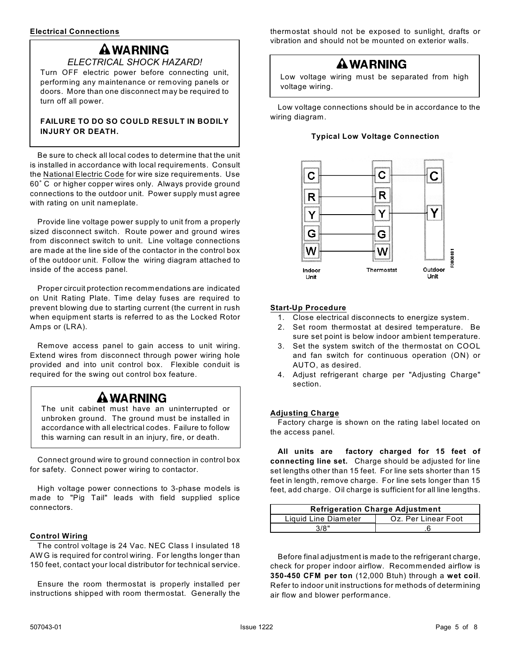# **A WARNING**

*ELECTRICAL SHOCK HAZARD!* Turn OFF electric power before connecting unit, performing any maintenance or removing panels or doors. More than one disconnect may be required to turn off all power.

### **FAILURE TO DO SO COULD RESULT IN BODILY INJURY OR DEATH.**

Be sure to check all local codes to determine that the unit is installed in accordance with local requirements. Consult the National Electric Code for wire size requirements. Use 60° C or higher copper wires only. Always provide ground connections to the outdoor unit. Power supply must agree with rating on unit nameplate.

Provide line voltage power supply to unit from a properly sized disconnect switch. Route power and ground wires from disconnect switch to unit. Line voltage connections are made at the line side of the contactor in the control box of the outdoor unit. Follow the wiring diagram attached to inside of the access panel.

Proper circuit protection recommendations are indicated on Unit Rating Plate. Time delay fuses are required to prevent blowing due to starting current (the current in rush when equipment starts is referred to as the Locked Rotor Amps or (LRA).

Remove access panel to gain access to unit wiring. Extend wires from disconnect through power wiring hole provided and into unit control box. Flexible conduit is required for the swing out control box feature.

### **A WARNING**

The unit cabinet must have an uninterrupted or unbroken ground. The ground must be installed in accordance with all electrical codes. Failure to follow this warning can result in an injury, fire, or death.

Connect ground wire to ground connection in control box for safety. Connect power wiring to contactor.

High voltage power connections to 3-phase models is made to "Pig Tail" leads with field supplied splice connectors.

### **Control Wiring**

The control voltage is 24 Vac. NEC Class I insulated 18 AW G is required for control wiring. For lengths longer than 150 feet, contact your local distributor for technical service.

Ensure the room thermostat is properly installed per instructions shipped with room thermostat. Generally the

thermostat should not be exposed to sunlight, drafts or vibration and should not be mounted on exterior walls.

### **AWARNING**

Low voltage wiring must be separated from high voltage wiring.

Low voltage connections should be in accordance to the wiring diagram.

### **Typical Low Voltage Connection**



### **Start-Up Procedure**

- 1. Close electrical disconnects to energize system.
- 2. Set room thermostat at desired temperature. Be sure set point is below indoor ambient temperature.
- 3. Set the system switch of the thermostat on COOL and fan switch for continuous operation (ON) or AUTO, as desired.
- 4. Adjust refrigerant charge per "Adjusting Charge" section.

### **Adjusting Charge**

Factory charge is shown on the rating label located on the access panel.

**All units are factory charged for 15 feet of connecting line set.** Charge should be adjusted for line set lengths other than 15 feet. For line sets shorter than 15 feet in length, remove charge. For line sets longer than 15 feet, add charge. Oil charge is sufficient for all line lengths.

| <b>Refrigeration Charge Adjustment</b> |                     |  |  |  |
|----------------------------------------|---------------------|--|--|--|
| Liquid Line Diameter                   | Oz. Per Linear Foot |  |  |  |
| 318"                                   |                     |  |  |  |

Before final adjustment is made to the refrigerant charge, check for proper indoor airflow. Recommended airflow is **350-450 CFM per ton** (12,000 Btuh) through a **wet coil**. Refer to indoor unit instructions for methods of determining air flow and blower performance.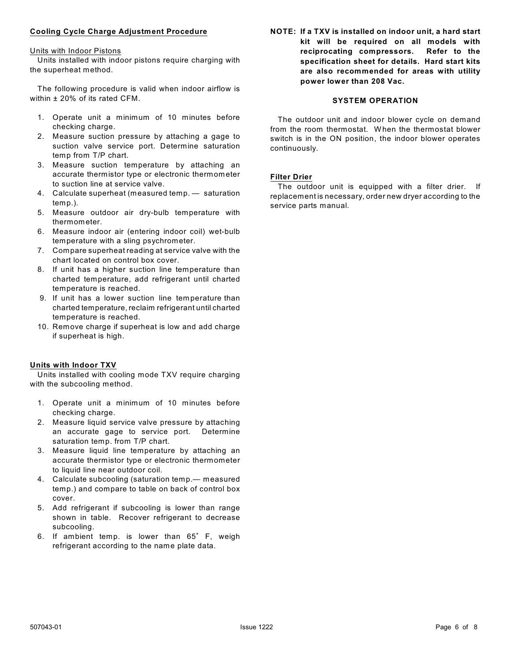### **Cooling Cycle Charge Adjustment Procedure**

#### Units with Indoor Pistons

Units installed with indoor pistons require charging with the superheat method.

The following procedure is valid when indoor airflow is within ± 20% of its rated CFM.

- 1. Operate unit a minimum of 10 minutes before checking charge.
- 2. Measure suction pressure by attaching a gage to suction valve service port. Determine saturation temp from T/P chart.
- 3. Measure suction temperature by attaching an accurate thermistor type or electronic thermometer to suction line at service valve.
- 4. Calculate superheat (measured temp. saturation temp.).
- 5. Measure outdoor air dry-bulb temperature with thermometer.
- 6. Measure indoor air (entering indoor coil) wet-bulb temperature with a sling psychrometer.
- 7. Compare superheat reading at service valve with the chart located on control box cover.
- 8. If unit has a higher suction line temperature than charted temperature, add refrigerant until charted temperature is reached.
- 9. If unit has a lower suction line temperature than charted temperature, reclaim refrigerant until charted temperature is reached.
- 10. Remove charge if superheat is low and add charge if superheat is high.

### **Units with Indoor TXV**

Units installed with cooling mode TXV require charging with the subcooling method.

- 1. Operate unit a minimum of 10 minutes before checking charge.
- 2. Measure liquid service valve pressure by attaching an accurate gage to service port. Determine saturation temp. from T/P chart.
- 3. Measure liquid line temperature by attaching an accurate thermistor type or electronic thermometer to liquid line near outdoor coil.
- 4. Calculate subcooling (saturation temp.— measured temp.) and compare to table on back of control box cover.
- 5. Add refrigerant if subcooling is lower than range shown in table. Recover refrigerant to decrease subcooling.
- 6. If ambient temp. is lower than 65° F, weigh refrigerant according to the name plate data.

**NOTE: If a TXV is installed on indoor unit, a hard start kit will be required on all models with reciprocating compressors. Refer to the specification sheet for details. Hard start kits are also recommended for areas with utility power lower than 208 Vac.**

### **SYSTEM OPERATION**

The outdoor unit and indoor blower cycle on demand from the room thermostat. W hen the thermostat blower switch is in the ON position, the indoor blower operates continuously.

### **Filter Drier**

The outdoor unit is equipped with a filter drier. If replacement is necessary, order new dryer according to the service parts manual.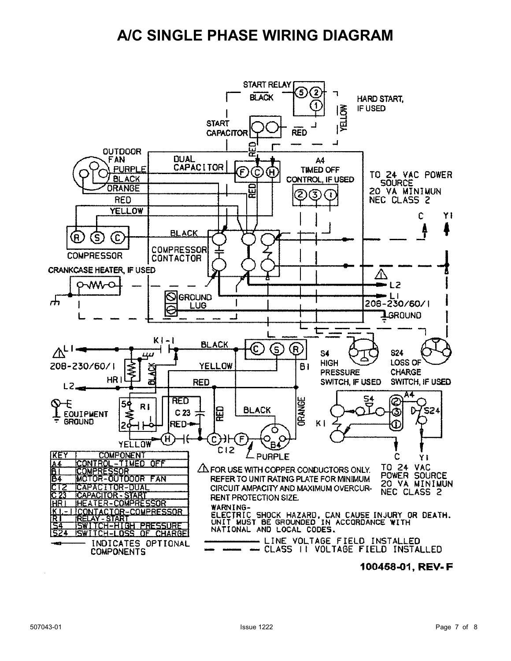# **A/C SINGLE PHASE WIRING DIAGRAM**